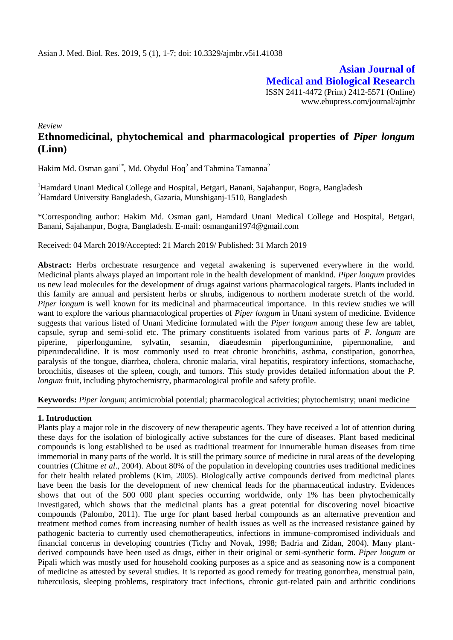**Asian Journal of Medical and Biological Research** ISSN 2411-4472 (Print) 2412-5571 (Online) www.ebupress.com/journal/ajmbr

*Review*

# **Ethnomedicinal, phytochemical and pharmacological properties of** *Piper longum*  **(Linn)**

Hakim Md. Osman gani $1^*$ , Md. Obydul Hoq<sup>2</sup> and Tahmina Tamanna<sup>2</sup>

<sup>1</sup>Hamdard Unani Medical College and Hospital, Betgari, Banani, Sajahanpur, Bogra, Bangladesh <sup>2</sup>Hamdard University Bangladesh, Gazaria, Munshiganj-1510, Bangladesh

\*Corresponding author: Hakim Md. Osman gani, Hamdard Unani Medical College and Hospital, Betgari, Banani, Sajahanpur, Bogra, Bangladesh. E-mail: osmangani1974@gmail.com

Received: 04 March 2019/Accepted: 21 March 2019/ Published: 31 March 2019

**Abstract:** Herbs orchestrate resurgence and vegetal awakening is supervened everywhere in the world. Medicinal plants always played an important role in the health development of mankind. *Piper longum* provides us new lead molecules for the development of drugs against various pharmacological targets. Plants included in this family are annual and persistent herbs or shrubs, indigenous to northern moderate stretch of the world. *Piper longum* is well known for its medicinal and pharmaceutical importance. In this review studies we will want to explore the various pharmacological properties of *Piper longum* in Unani system of medicine. Evidence suggests that various listed of Unani Medicine formulated with the *Piper longum* among these few are tablet, capsule, syrup and semi-solid etc. The primary constituents isolated from various parts of *P. longum* are piperine, piperlongumine, sylvatin, sesamin, diaeudesmin piperlonguminine, pipermonaline, and piperundecalidine. It is most commonly used to treat chronic bronchitis, asthma, constipation, gonorrhea, paralysis of the tongue, diarrhea, cholera, chronic malaria, viral hepatitis, respiratory infections, stomachache, bronchitis, diseases of the spleen, cough, and tumors. This study provides detailed information about the *P. longum* fruit, including phytochemistry, pharmacological profile and safety profile.

**Keywords:** *Piper longum*; antimicrobial potential; pharmacological activities; phytochemistry; unani medicine

# **1. Introduction**

Plants play a major role in the discovery of new therapeutic agents. They have received a lot of attention during these days for the isolation of biologically active substances for the cure of diseases. Plant based medicinal compounds is long established to be used as traditional treatment for innumerable human diseases from time immemorial in many parts of the world. It is still the primary source of medicine in rural areas of the developing countries (Chitme *et al*., 2004). About 80% of the population in developing countries uses traditional medicines for their health related problems (Kim, 2005). Biologically active compounds derived from medicinal plants have been the basis for the development of new chemical leads for the pharmaceutical industry. Evidences shows that out of the 500 000 plant species occurring worldwide, only 1% has been phytochemically investigated, which shows that the medicinal plants has a great potential for discovering novel bioactive compounds (Palombo, 2011). The urge for plant based herbal compounds as an alternative prevention and treatment method comes from increasing number of health issues as well as the increased resistance gained by pathogenic bacteria to currently used chemotherapeutics, infections in immune-compromised individuals and financial concerns in developing countries (Tichy and Novak, 1998; Badria and Zidan, 2004). Many plantderived compounds have been used as drugs, either in their original or semi-synthetic form. *Piper longum* or Pipali which was mostly used for household cooking purposes as a spice and as seasoning now is a component of medicine as attested by several studies. It is reported as good remedy for treating gonorrhea, menstrual pain, tuberculosis, sleeping problems, respiratory tract infections, chronic gut-related pain and arthritic conditions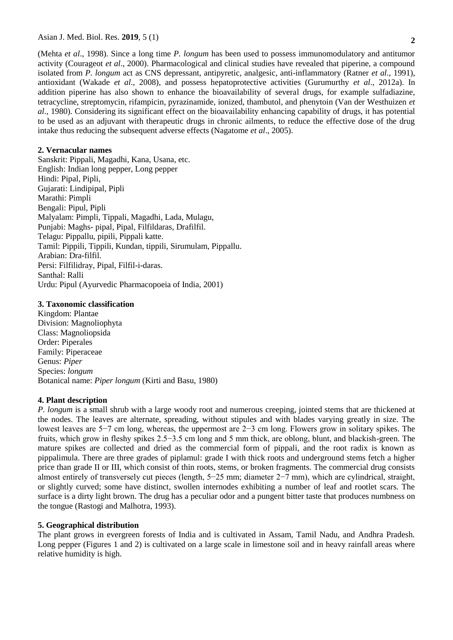Asian J. Med. Biol. Res. **2019**, 5 (1)

(Mehta *et al*., 1998). Since a long time *P. longum* has been used to possess immunomodulatory and antitumor activity (Courageot *et al*., 2000). Pharmacological and clinical studies have revealed that piperine, a compound isolated from *P. longum* act as CNS depressant, antipyretic, analgesic, anti-inflammatory (Ratner *et al*., 1991), antioxidant (Wakade *et al*., 2008), and possess hepatoprotective activities (Gurumurthy *et al*., 2012a). In addition piperine has also shown to enhance the bioavailability of several drugs, for example sulfadiazine, tetracycline, streptomycin, rifampicin, pyrazinamide, ionized, thambutol, and phenytoin (Van der Westhuizen *et al*., 1980). Considering its significant effect on the bioavailability enhancing capability of drugs, it has potential to be used as an adjuvant with therapeutic drugs in chronic ailments, to reduce the effective dose of the drug intake thus reducing the subsequent adverse effects (Nagatome *et al*., 2005).

### **2. Vernacular names**

Sanskrit: Pippali, Magadhi, Kana, Usana, etc. English: Indian long pepper, Long pepper Hindi: Pipal, Pipli, Gujarati: Lindipipal, Pipli Marathi: Pimpli Bengali: Pipul, Pipli Malyalam: Pimpli, Tippali, Magadhi, Lada, Mulagu, Punjabi: Maghs- pipal, Pipal, Filfildaras, Drafilfil. Telagu: Pippallu, pipili, Pippali katte. Tamil: Pippili, Tippili, Kundan, tippili, Sirumulam, Pippallu. Arabian: Dra-filfil. Persi: Filfilidray, Pipal, Filfil-i-daras. Santhal: Ralli Urdu: Pipul (Ayurvedic Pharmacopoeia of India, 2001)

### **3. Taxonomic classification**

Kingdom: Plantae Division: Magnoliophyta Class: Magnoliopsida Order: Piperales Family: Piperaceae Genus: *Piper* Species: *longum* Botanical name: *Piper longum* (Kirti and Basu, 1980)

### **4. Plant description**

*P. longum* is a small shrub with a large woody root and numerous creeping, jointed stems that are thickened at the nodes. The leaves are alternate, spreading, without stipules and with blades varying greatly in size. The lowest leaves are 5−7 cm long, whereas, the uppermost are 2−3 cm long. Flowers grow in solitary spikes. The fruits, which grow in fleshy spikes 2.5−3.5 cm long and 5 mm thick, are oblong, blunt, and blackish-green. The mature spikes are collected and dried as the commercial form of pippali, and the root radix is known as pippalimula. There are three grades of piplamul: grade I with thick roots and underground stems fetch a higher price than grade II or III, which consist of thin roots, stems, or broken fragments. The commercial drug consists almost entirely of transversely cut pieces (length, 5−25 mm; diameter 2−7 mm), which are cylindrical, straight, or slightly curved; some have distinct, swollen internodes exhibiting a number of leaf and rootlet scars. The surface is a dirty light brown. The drug has a peculiar odor and a pungent bitter taste that produces numbness on the tongue (Rastogi and Malhotra, 1993).

# **5. Geographical distribution**

The plant grows in evergreen forests of India and is cultivated in Assam, Tamil Nadu, and Andhra Pradesh. Long pepper (Figures 1 and 2) is cultivated on a large scale in limestone soil and in heavy rainfall areas where relative humidity is high.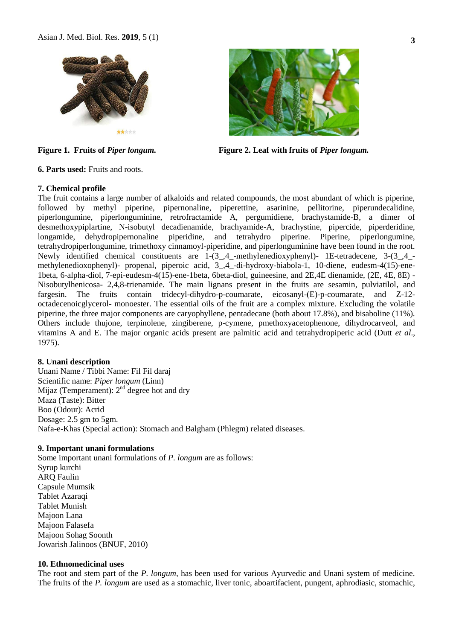



**Figure 1. Fruits of** *Piper longum.* **Figure 2. Leaf with fruits of** *Piper longum.*

**6. Parts used:** Fruits and roots.

### **7. Chemical profile**

The fruit contains a large number of alkaloids and related compounds, the most abundant of which is piperine, followed by methyl piperine, pipernonaline, piperettine, asarinine, pellitorine, piperundecalidine, piperlongumine, piperlonguminine, retrofractamide A, pergumidiene, brachystamide-B, a dimer of desmethoxypiplartine, N-isobutyl decadienamide, brachyamide-A, brachystine, pipercide, piperderidine, longamide, dehydropipernonaline piperidine, and tetrahydro piperine. Piperine, piperlongumine, tetrahydropiperlongumine, trimethoxy cinnamoyl-piperidine, and piperlonguminine have been found in the root. Newly identified chemical constituents are 1-(3\_,4\_-methylenedioxyphenyl)- 1E-tetradecene, 3-(3\_,4\_ methylenedioxophenyl)- propenal, piperoic acid, 3\_,4\_-di-hydroxy-biabola-1, 10-diene, eudesm-4(15)-ene-1beta, 6-alpha-diol, 7-epi-eudesm-4(15)-ene-1beta, 6beta-diol, guineesine, and 2E,4E dienamide, (2E, 4E, 8E) - Nisobutylhenicosa- 2,4,8-trienamide. The main lignans present in the fruits are sesamin, pulviatilol, and fargesin. The fruits contain tridecyl-dihydro-p-coumarate, eicosanyl-(E)-p-coumarate, and Z-12 octadecenoicglycerol- monoester. The essential oils of the fruit are a complex mixture. Excluding the volatile piperine, the three major components are caryophyllene, pentadecane (both about 17.8%), and bisaboline (11%). Others include thujone, terpinolene, zingiberene, p-cymene, pmethoxyacetophenone, dihydrocarveol, and vitamins A and E. The major organic acids present are palmitic acid and tetrahydropiperic acid (Dutt *et al*., 1975).

## **8. Unani description**

Unani Name / Tibbi Name: Fil Fil daraj Scientific name: *Piper longum* (Linn) Mijaz (Temperament):  $2<sup>nd</sup>$  degree hot and dry Maza (Taste): Bitter Boo (Odour): Acrid Dosage: 2.5 gm to 5gm. Nafa-e-Khas (Special action): Stomach and Balgham (Phlegm) related diseases.

## **9. Important unani formulations**

Some important unani formulations of *P. longum* are as follows: Syrup kurchi ARQ Faulin Capsule Mumsik Tablet Azaraqi Tablet Munish Majoon Lana Majoon Falasefa Majoon Sohag Soonth Jowarish Jalinoos (BNUF, 2010)

### **10. Ethnomedicinal uses**

The root and stem part of the *P. longum*, has been used for various Ayurvedic and Unani system of medicine. The fruits of the *P. longum* are used as a stomachic, liver tonic, aboartifacient, pungent, aphrodiasic, stomachic,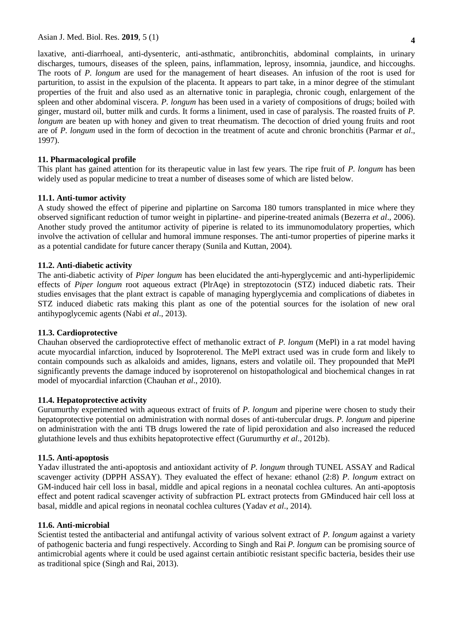**4**

laxative, anti-diarrhoeal, anti-dysenteric, anti-asthmatic, antibronchitis, abdominal complaints, in urinary discharges, tumours, diseases of the spleen, pains, inflammation, leprosy, insomnia, jaundice, and hiccoughs. The roots of *P. longum* are used for the management of heart diseases. An infusion of the root is used for parturition, to assist in the expulsion of the placenta. It appears to part take, in a minor degree of the stimulant properties of the fruit and also used as an alternative tonic in paraplegia, chronic cough, enlargement of the spleen and other abdominal viscera. *P. longum* has been used in a variety of compositions of drugs; boiled with ginger, mustard oil, butter milk and curds. It forms a liniment, used in case of paralysis. The roasted fruits of *P. longum* are beaten up with honey and given to treat rheumatism. The decoction of dried young fruits and root are of *P. longum* used in the form of decoction in the treatment of acute and chronic bronchitis (Parmar *et al*., 1997).

# **11. Pharmacological profile**

This plant has gained attention for its therapeutic value in last few years. The ripe fruit of *P. longum* has been widely used as popular medicine to treat a number of diseases some of which are listed below.

# **11.1. Anti-tumor activity**

A study showed the effect of piperine and piplartine on Sarcoma 180 tumors transplanted in mice where they observed significant reduction of tumor weight in piplartine- and piperine-treated animals (Bezerra *et al*., 2006). Another study proved the antitumor activity of piperine is related to its immunomodulatory properties, which involve the activation of cellular and humoral immune responses. The anti-tumor properties of piperine marks it as a potential candidate for future cancer therapy (Sunila and Kuttan, 2004).

# **11.2. Anti-diabetic activity**

The anti-diabetic activity of *Piper longum* has been elucidated the anti-hyperglycemic and anti-hyperlipidemic effects of *Piper longum* root aqueous extract (PlrAqe) in streptozotocin (STZ) induced diabetic rats. Their studies envisages that the plant extract is capable of managing hyperglycemia and complications of diabetes in STZ induced diabetic rats making this plant as one of the potential sources for the isolation of new oral antihypoglycemic agents (Nabi *et al*., 2013).

# **11.3. Cardioprotective**

Chauhan observed the cardioprotective effect of methanolic extract of *P. longum* (MePl) in a rat model having acute myocardial infarction, induced by Isoproterenol. The MePl extract used was in crude form and likely to contain compounds such as alkaloids and amides, lignans, esters and volatile oil. They propounded that MePl significantly prevents the damage induced by isoproterenol on histopathological and biochemical changes in rat model of myocardial infarction (Chauhan *et al*., 2010).

# **11.4. Hepatoprotective activity**

Gurumurthy experimented with aqueous extract of fruits of *P. longum* and piperine were chosen to study their hepatoprotective potential on administration with normal doses of anti-tubercular drugs. *P. longum* and piperine on administration with the anti TB drugs lowered the rate of lipid peroxidation and also increased the reduced glutathione levels and thus exhibits hepatoprotective effect (Gurumurthy *et al*., 2012b).

# **11.5. Anti-apoptosis**

Yadav illustrated the anti-apoptosis and antioxidant activity of *P. longum* through TUNEL ASSAY and Radical scavenger activity (DPPH ASSAY). They evaluated the effect of hexane: ethanol (2:8) *P. longum* extract on GM-induced hair cell loss in basal, middle and apical regions in a neonatal cochlea cultures. An anti-apoptosis effect and potent radical scavenger activity of subfraction PL extract protects from GMinduced hair cell loss at basal, middle and apical regions in neonatal cochlea cultures (Yadav *et al*., 2014).

# **11.6. Anti-microbial**

Scientist tested the antibacterial and antifungal activity of various solvent extract of *P. longum* against a variety of pathogenic bacteria and fungi respectively. According to Singh and Rai *P. longum* can be promising source of antimicrobial agents where it could be used against certain antibiotic resistant specific bacteria, besides their use as traditional spice (Singh and Rai, 2013).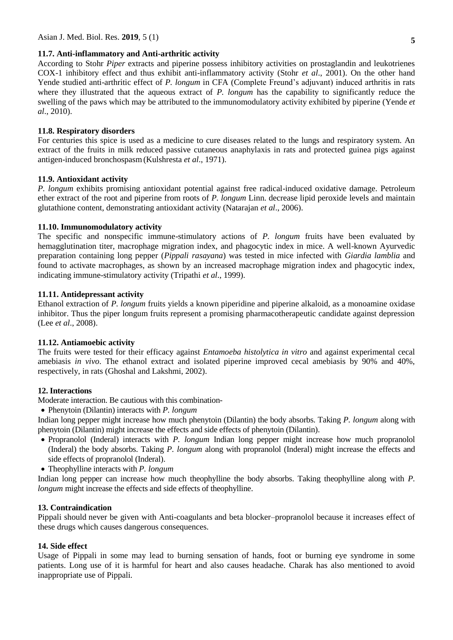## **11.7. Anti-inflammatory and Anti-arthritic activity**

According to Stohr *Piper* extracts and piperine possess inhibitory activities on prostaglandin and leukotrienes COX-1 inhibitory effect and thus exhibit anti-inflammatory activity (Stohr *et al*., 2001). On the other hand Yende studied anti-arthritic effect of *P. longum* in CFA (Complete Freund's adjuvant) induced arthritis in rats where they illustrated that the aqueous extract of *P. longum* has the capability to significantly reduce the swelling of the paws which may be attributed to the immunomodulatory activity exhibited by piperine (Yende *et al*., 2010).

# **11.8. Respiratory disorders**

For centuries this spice is used as a medicine to cure diseases related to the lungs and respiratory system. An extract of the fruits in milk reduced passive cutaneous anaphylaxis in rats and protected guinea pigs against antigen-induced bronchospasm(Kulshresta *et al*., 1971).

### **11.9. Antioxidant activity**

*P. longum* exhibits promising antioxidant potential against free radical-induced oxidative damage. Petroleum ether extract of the root and piperine from roots of *P. longum* Linn. decrease lipid peroxide levels and maintain glutathione content, demonstrating antioxidant activity (Natarajan *et al*., 2006).

### **11.10. Immunomodulatory activity**

The specific and nonspecific immune-stimulatory actions of *P. longum* fruits have been evaluated by hemagglutination titer, macrophage migration index, and phagocytic index in mice. A well-known Ayurvedic preparation containing long pepper (*Pippali rasayana*) was tested in mice infected with *Giardia lamblia* and found to activate macrophages, as shown by an increased macrophage migration index and phagocytic index, indicating immune-stimulatory activity (Tripathi *et al*., 1999).

### **11.11. Antidepressant activity**

Ethanol extraction of *P. longum* fruits yields a known piperidine and piperine alkaloid, as a monoamine oxidase inhibitor. Thus the piper longum fruits represent a promising pharmacotherapeutic candidate against depression (Lee *et al*., 2008).

#### **11.12. Antiamoebic activity**

The fruits were tested for their efficacy against *Entamoeba histolytica in vitro* and against experimental cecal amebiasis *in vivo*. The ethanol extract and isolated piperine improved cecal amebiasis by 90% and 40%, respectively, in rats (Ghoshal and Lakshmi, 2002).

### **12. Interactions**

Moderate interaction. Be cautious with this combination-

#### Phenytoin (Dilantin) interacts with *P. longum*

Indian long pepper might increase how much phenytoin (Dilantin) the body absorbs. Taking *P. longum* along with phenytoin (Dilantin) might increase the effects and side effects of phenytoin (Dilantin).

 Propranolol (Inderal) interacts with *P. longum* Indian long pepper might increase how much propranolol (Inderal) the body absorbs. Taking *P. longum* along with propranolol (Inderal) might increase the effects and side effects of propranolol (Inderal).

Theophylline interacts with *P. longum*

Indian long pepper can increase how much theophylline the body absorbs. Taking theophylline along with *P*. *longum* might increase the effects and side effects of theophylline.

### **13. Contraindication**

Pippali should never be given with Anti-coagulants and beta blocker–propranolol because it increases effect of these drugs which causes dangerous consequences.

### **14. Side effect**

Usage of Pippali in some may lead to burning sensation of hands, foot or burning eye syndrome in some patients. Long use of it is harmful for heart and also causes headache. Charak has also mentioned to avoid inappropriate use of Pippali.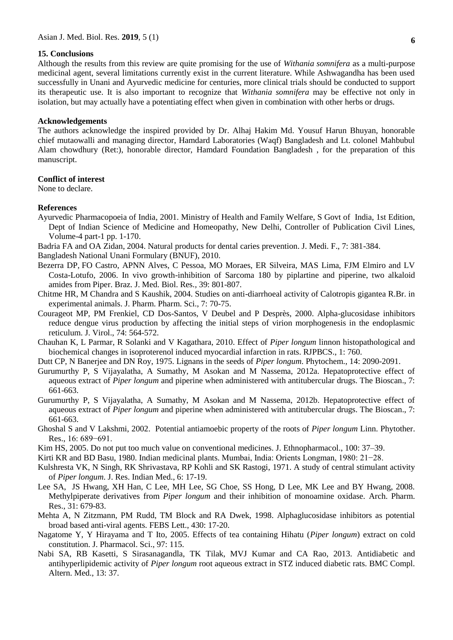### **15. Conclusions**

Although the results from this review are quite promising for the use of *Withania somnifera* as a multi-purpose medicinal agent, several limitations currently exist in the current literature. While Ashwagandha has been used successfully in Unani and Ayurvedic medicine for centuries, more clinical trials should be conducted to support its therapeutic use. It is also important to recognize that *Withania somnifera* may be effective not only in isolation, but may actually have a potentiating effect when given in combination with other herbs or drugs.

### **Acknowledgements**

The authors acknowledge the inspired provided by Dr. Alhaj Hakim Md. Yousuf Harun Bhuyan, honorable chief mutaowalli and managing director, Hamdard Laboratories (Waqf) Bangladesh and Lt. colonel Mahbubul Alam chowdhury (Ret:), honorable director, Hamdard Foundation Bangladesh , for the preparation of this manuscript.

#### **Conflict of interest**

None to declare.

#### **References**

- Ayurvedic Pharmacopoeia of India, 2001. Ministry of Health and Family Welfare, S Govt of India, 1st Edition, Dept of Indian Science of Medicine and Homeopathy, New Delhi, Controller of Publication Civil Lines, Volume-4 part-1 pp. 1-170.
- Badria FA and OA Zidan, 2004. Natural products for dental caries prevention. J. Medi. F., 7: 381-384.

Bangladesh National Unani Formulary (BNUF), 2010.

- [Bezerra DP,](https://www.ncbi.nlm.nih.gov/pubmed/?term=Bezerra%20DP%5BAuthor%5D&cauthor=true&cauthor_uid=16751987) FO Castro, APNN Alves, C Pessoa, MO Moraes, ER Silveira, MAS Lima, FJM Elmiro and LV Costa-Lotufo, 2006. In vivo growth-inhibition of Sarcoma 180 by piplartine and piperine, two alkaloid amides from Piper. Braz. J. Med. Biol. Res.*,* 39: 801-807.
- Chitme HR, M Chandra and S Kaushik, 2004. Studies on anti-diarrhoeal activity of Calotropis gigantea R.Br. in experimental animals. J. Pharm. Pharm. Sci., 7: 70-75.
- Courageot MP, PM Frenkiel, CD Dos-Santos, V Deubel and P Desprès, 2000. Alpha-glucosidase inhibitors reduce dengue virus production by affecting the initial steps of virion morphogenesis in the endoplasmic reticulum. J. Virol., 74: 564-572.
- Chauhan K, L Parmar, R Solanki and V [Kagathara,](https://www.researchgate.net/scientific-contributions/50891587_V_Kagathara) 2010. Effect of *Piper longum* linnon histopathological and biochemical changes in isoproterenol induced myocardial infarction in rats. RJPBCS., 1: 760.
- Dutt CP, N Banerjee and DN Roy, 1975. Lignans in the seeds of *Piper longum*. Phytochem., 14: 2090-2091.
- Gurumurthy P, S Vijayalatha, A Sumathy, M Asokan and M Nassema, 2012a. Hepatoprotective effect of aqueous extract of *Piper longum* and piperine when administered with antitubercular drugs. The Bioscan., 7: 661-663.
- Gurumurthy P, S Vijayalatha, A Sumathy, M Asokan and M Nassema, 2012b. Hepatoprotective effect of aqueous extract of *Piper longum* and piperine when administered with antitubercular drugs. The Bioscan., 7: 661-663.
- Ghoshal S and V Lakshmi, 2002. Potential antiamoebic property of the roots of *Piper longum* Linn. Phytother. Res., 16: 689−691.
- Kim HS, 2005. Do not put too much value on conventional medicines. J. Ethnopharmacol., 100: 37–39.
- Kirti KR and BD Basu, 1980. Indian medicinal plants. Mumbai, India: Orients Longman, 1980: 21−28.
- Kulshresta VK, N Singh, RK Shrivastava, RP Kohli and SK Rastogi, 1971. A study of central stimulant activity of *Piper longum*. J. Res. Indian Med., 6: 17-19.
- Lee SA, JS Hwang, XH Han, C Lee, MH Lee, SG Choe, SS Hong, D Lee, MK Lee and BY Hwang, 2008. Methylpiperate derivatives from *Piper longum* and their inhibition of monoamine oxidase. Arch. Pharm. Res., 31: 679-83.
- Mehta A, N Zitzmann, PM Rudd, TM Block and RA Dwek, 1998. Alphaglucosidase inhibitors as potential broad based anti-viral agents. FEBS Lett., 430: 17-20.
- Nagatome Y, Y Hirayama and T Ito, 2005. Effects of tea containing Hihatu (*Piper longum*) extract on cold constitution. J. Pharmacol. Sci., 97: 115.
- Nabi SA, RB Kasetti, S Sirasanagandla, TK Tilak, MVJ Kumar and CA Rao, 2013. Antidiabetic and antihyperlipidemic activity of *Piper longum* root aqueous extract in STZ induced diabetic rats. BMC Compl. Altern. Med., 13: 37.